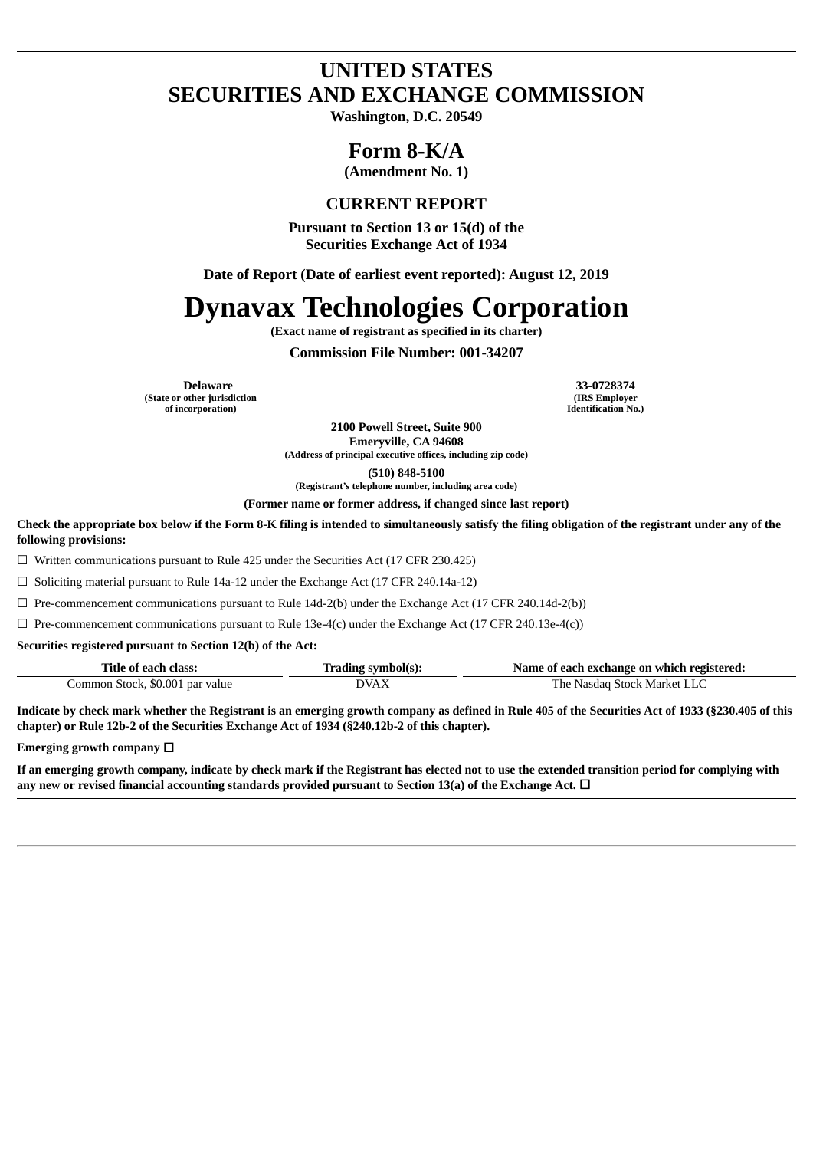## **UNITED STATES SECURITIES AND EXCHANGE COMMISSION**

**Washington, D.C. 20549**

## **Form 8-K/A**

**(Amendment No. 1)**

### **CURRENT REPORT**

**Pursuant to Section 13 or 15(d) of the Securities Exchange Act of 1934**

**Date of Report (Date of earliest event reported): August 12, 2019**

# **Dynavax Technologies Corporation**

**(Exact name of registrant as specified in its charter)**

**Commission File Number: 001-34207**

**(State or other jurisdiction of incorporation)**

**Delaware 33-0728374 (IRS Employer Identification No.)**

> **2100 Powell Street, Suite 900 Emeryville, CA 94608**

**(Address of principal executive offices, including zip code)**

**(510) 848-5100**

**(Registrant's telephone number, including area code) (Former name or former address, if changed since last report)**

Check the appropriate box below if the Form 8-K filing is intended to simultaneously satisfy the filing obligation of the registrant under any of the **following provisions:**

☐ Written communications pursuant to Rule 425 under the Securities Act (17 CFR 230.425)

☐ Soliciting material pursuant to Rule 14a-12 under the Exchange Act (17 CFR 240.14a-12)

 $\Box$  Pre-commencement communications pursuant to Rule 14d-2(b) under the Exchange Act (17 CFR 240.14d-2(b))

 $\Box$  Pre-commencement communications pursuant to Rule 13e-4(c) under the Exchange Act (17 CFR 240.13e-4(c))

**Securities registered pursuant to Section 12(b) of the Act:**

| Title of each class:            | "rading symbol(s): | Name of each exchange on which registered: |
|---------------------------------|--------------------|--------------------------------------------|
| Common Stock, \$0.001 par value | DVAX               | The Nasdag Stock Market LLC                |

Indicate by check mark whether the Registrant is an emerging growth company as defined in Rule 405 of the Securities Act of 1933 (§230.405 of this **chapter) or Rule 12b-2 of the Securities Exchange Act of 1934 (§240.12b-2 of this chapter).**

**Emerging growth company** ☐

If an emerging growth company, indicate by check mark if the Registrant has elected not to use the extended transition period for complying with **any new or revised financial accounting standards provided pursuant to Section 13(a) of the Exchange Act.** ☐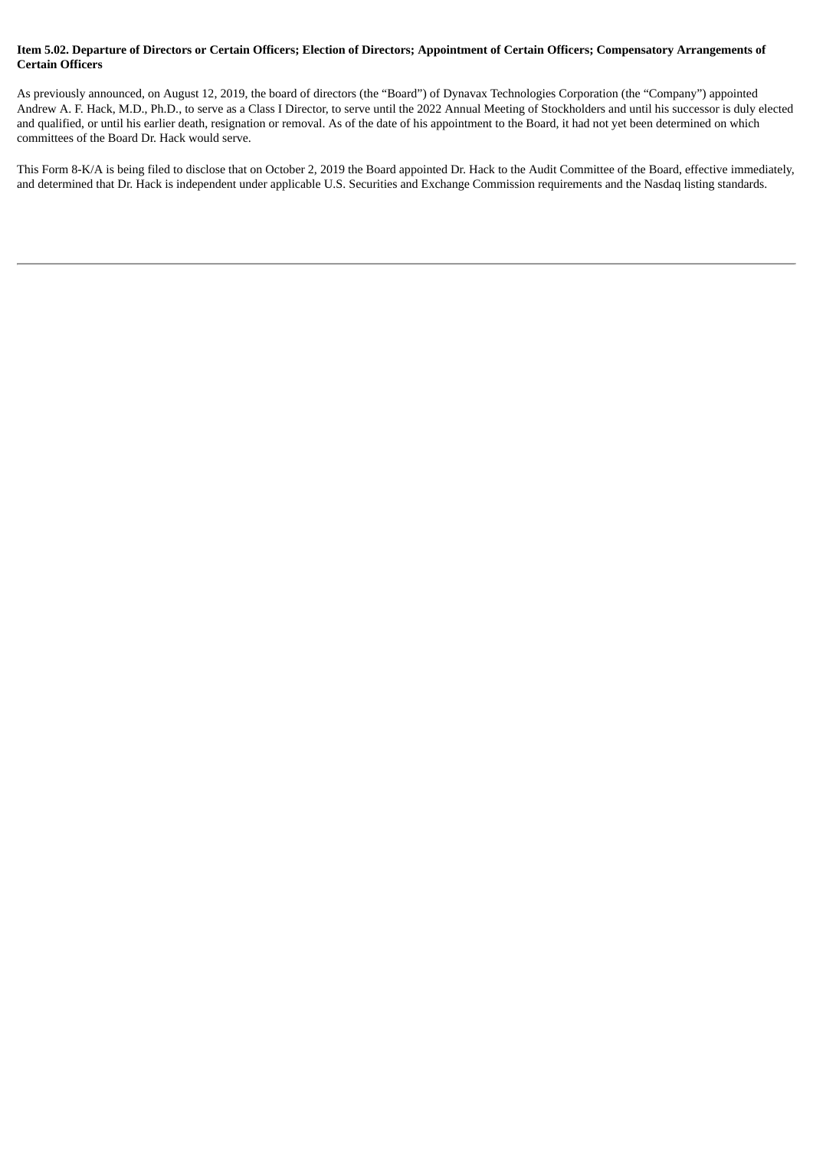### Item 5.02. Departure of Directors or Certain Officers; Election of Directors; Appointment of Certain Officers; Compensatory Arrangements of **Certain Officers**

As previously announced, on August 12, 2019, the board of directors (the "Board") of Dynavax Technologies Corporation (the "Company") appointed Andrew A. F. Hack, M.D., Ph.D., to serve as a Class I Director, to serve until the 2022 Annual Meeting of Stockholders and until his successor is duly elected and qualified, or until his earlier death, resignation or removal. As of the date of his appointment to the Board, it had not yet been determined on which committees of the Board Dr. Hack would serve.

This Form 8-K/A is being filed to disclose that on October 2, 2019 the Board appointed Dr. Hack to the Audit Committee of the Board, effective immediately, and determined that Dr. Hack is independent under applicable U.S. Securities and Exchange Commission requirements and the Nasdaq listing standards.